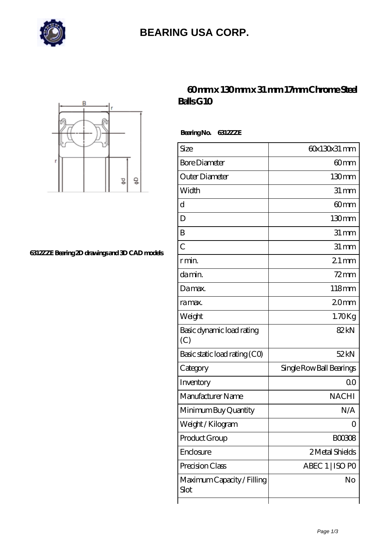

# **[BEARING USA CORP.](https://hathaykhongbanghayhat.org)**



#### **[6312ZZE Bearing 2D drawings and 3D CAD models](https://hathaykhongbanghayhat.org/pic-684000.html)**

### **[60 mm x 130 mm x 31 mm 17mm Chrome Steel](https://hathaykhongbanghayhat.org/aI-684000-17mm-chrome-steel-balls-g10.html) [Balls G10](https://hathaykhongbanghayhat.org/aI-684000-17mm-chrome-steel-balls-g10.html)**

 **Bearing No. 6312ZZE**

| Size                               | 60x130x31 mm             |
|------------------------------------|--------------------------|
| <b>Bore Diameter</b>               | 60mm                     |
| Outer Diameter                     | 130mm                    |
| Width                              | $31 \,\mathrm{mm}$       |
| $\mathbf d$                        | 60 <sub>mm</sub>         |
| D                                  | 130 <sub>mm</sub>        |
| B                                  | $31 \, \text{mm}$        |
| $\overline{C}$                     | $31 \, \text{mm}$        |
| r min.                             | $21 \,\mathrm{mm}$       |
| da min.                            | $72$ mm                  |
| Damax.                             | 118mm                    |
| ra max.                            | 20 <sub>mm</sub>         |
| Weight                             | $1.70$ Kg                |
| Basic dynamic load rating<br>(C)   | 82kN                     |
| Basic static load rating (CO)      | 52kN                     |
| Category                           | Single Row Ball Bearings |
| Inventory                          | 0 <sup>0</sup>           |
| Manufacturer Name                  | <b>NACHI</b>             |
| Minimum Buy Quantity               | N/A                      |
| Weight / Kilogram                  | Ο                        |
| Product Group                      | <b>BOO3O8</b>            |
| Enclosure                          | 2 Metal Shields          |
| Precision Class                    | ABEC 1   ISO PO          |
| Maximum Capacity / Filling<br>Slot | No                       |
|                                    |                          |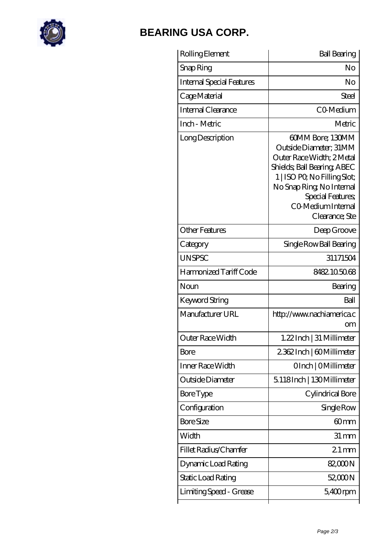

# **[BEARING USA CORP.](https://hathaykhongbanghayhat.org)**

| Rolling Element           | <b>Ball Bearing</b>                                                                                                                                                                                                             |
|---------------------------|---------------------------------------------------------------------------------------------------------------------------------------------------------------------------------------------------------------------------------|
| Snap Ring                 | No                                                                                                                                                                                                                              |
| Internal Special Features | No                                                                                                                                                                                                                              |
| Cage Material             | Steel                                                                                                                                                                                                                           |
| Internal Clearance        | CO-Medium                                                                                                                                                                                                                       |
| Inch - Metric             | Metric                                                                                                                                                                                                                          |
| Long Description          | 60MM Bore; 130MM<br>Outside Diameter; 31MM<br>Outer Race Width; 2Metal<br>Shields; Ball Bearing; ABEC<br>1   ISO PO, No Filling Slot;<br>No Snap Ring, No Internal<br>Special Features;<br>CO Medium Internal<br>Clearance; Ste |
| <b>Other Features</b>     | Deep Groove                                                                                                                                                                                                                     |
| Category                  | Single Row Ball Bearing                                                                                                                                                                                                         |
| <b>UNSPSC</b>             | 31171504                                                                                                                                                                                                                        |
| Harmonized Tariff Code    | 8482105068                                                                                                                                                                                                                      |
| Noun                      | Bearing                                                                                                                                                                                                                         |
| Keyword String            | Ball                                                                                                                                                                                                                            |
| Manufacturer URL          | http://www.nachiamerica.c<br>om                                                                                                                                                                                                 |
| Outer Race Width          | 1.22Inch   31 Millimeter                                                                                                                                                                                                        |
| Bore                      | 2362Inch   60Millimeter                                                                                                                                                                                                         |
| Inner Race Width          | OInch   OMillimeter                                                                                                                                                                                                             |
| Outside Diameter          | 5.118Inch   130Millimeter                                                                                                                                                                                                       |
| Bore Type                 | Cylindrical Bore                                                                                                                                                                                                                |
| Configuration             | Single Row                                                                                                                                                                                                                      |
| <b>Bore Size</b>          | 60 <sub>mm</sub>                                                                                                                                                                                                                |
| Width                     | $31 \, \text{mm}$                                                                                                                                                                                                               |
| Fillet Radius/Chamfer     | $21 \,\mathrm{mm}$                                                                                                                                                                                                              |
| Dynamic Load Rating       | 82,000N                                                                                                                                                                                                                         |
| Static Load Rating        | 52,000 N                                                                                                                                                                                                                        |
| Limiting Speed - Grease   | $5,400$ rpm                                                                                                                                                                                                                     |
|                           |                                                                                                                                                                                                                                 |